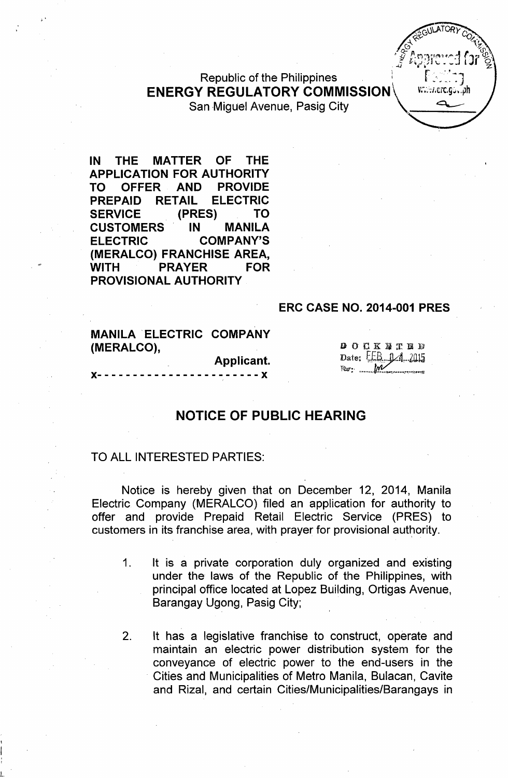Republic of the Philippines<br>. ———————————————————— **ENERGY REGULATORY COMMISSION\** 



San Miguel Avenue, Pasig City.

IN THE MATTER OF THE APPLICATION FOR AUTHORITY TO OFFER AND PROVIDE PREPAID RETAIL ELECTRIC SERVICE (PRES) TO CUSTOMERS IN MANILA ELECTRIC COMPANY'S (MERALCO) FRANCHISE AREA, WITH PRAYER FOR PROVISIONAL AUTHORITY

#### ERC CASE NO. 2014-001 PRES

|            | <b>MANILA ELECTRIC COMPANY</b> |  |
|------------|--------------------------------|--|
| (MERALCO), |                                |  |

x-----------------------x

L

Applicant.

 $000$ **K**  $\overline{u}$  **T**  $\overline{u}$  **D** Date:  $E.B. 1/4.2015$ Res: M

### NOTICE OF PUBLIC HEARING

#### TO ALL INTERESTED PARTIES:

Notice is hereby given that on December 12, 2014, Manila Electric Company (MERALCO) filed an application for authority to offer and provide Prepaid Retail Electric Service (PRES) to customers in its franchise area, with prayer for provisional authority.

- 1. It is a private corporation duly organized and existing under the laws of the Republic of the Philippines, with principal office located at Lopez Building, Ortigas Avenue, Barangay Ugong, Pasig City;
- 2. It has a legislative franchise to construct, operate and maintain an electric power distribution system for the conveyance of electric power to the end-users in the . Cities and Municipalities of Metro Manila, Bulacan, Cavite and Rizal, and certain Cities/Municipalities/Barangays in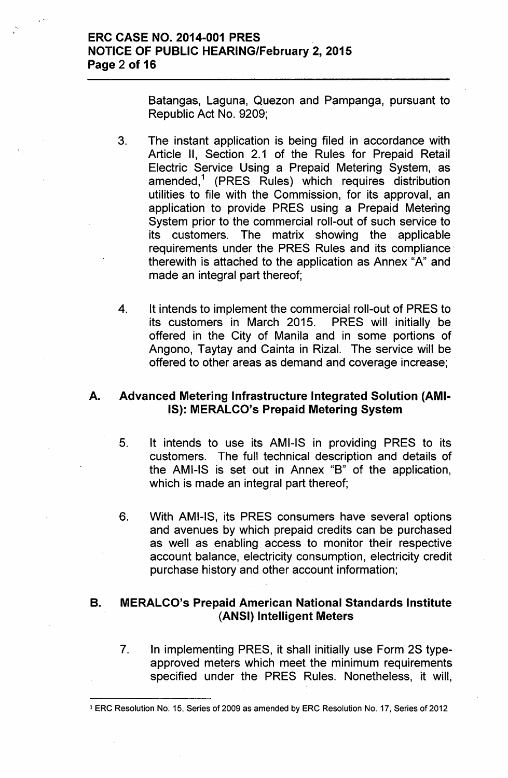Batangas, Laguna, Quezon and Pampanga, pursuant to Republic Act No. 9209;

- 3. The instant application is being filed in accordance with Article II, Section 2.1 of the Rules for Prepaid Retail Electric Service Using a Prepaid Metering System, as amended,<sup>1</sup> (PRES Rules) which requires distribution utilities to file with the Commission, for its approval, an application to provide PRES using a Prepaid Metering System prior to the commercial roll-out of such service to its customers. The matrix showing the applicable requirements under the PRES Rules and its compliance therewith is attached to the application as Annex "A" and made an integral part thereof;
- 4. It intends to implement the commercial roll-out of PRES to its customers in March 2015. PRES will initially be offered in the City of Manila and in some portions of Angono, Taytay and Cainta in Rizal. The service will be offered to other areas as demand and coverage increase;

## A. Advanced Metering Infrastructure Integrated Solution (AMI-IS): MERALCO's Prepaid Metering System

- 5. It intends to use its AMI-IS in providing PRES to its customers. The full technical description and details of the AMI-IS is set out in Annex "B" of the application, which is made an integral part thereof;
- 6. With AMI-IS, its PRES consumers have several options and avenues by which prepaid credits can be purchased as well as enabling access to monitor their respective account balance, electricity consumption, electricity credit purchase history and other account information;

## B. MERALCO's Prepaid American National Standards Institute (ANSI) Intelligent Meters

7. In implementing PRES, it shall initially use Form 2S typeapproved meters which meet the minimum requirements specified under the PRES Rules. Nonetheless, it will,

<sup>1</sup> ERC Resolution No. 15, Series of 2009 as amended by ERC Resolution No. 17, Series of 2012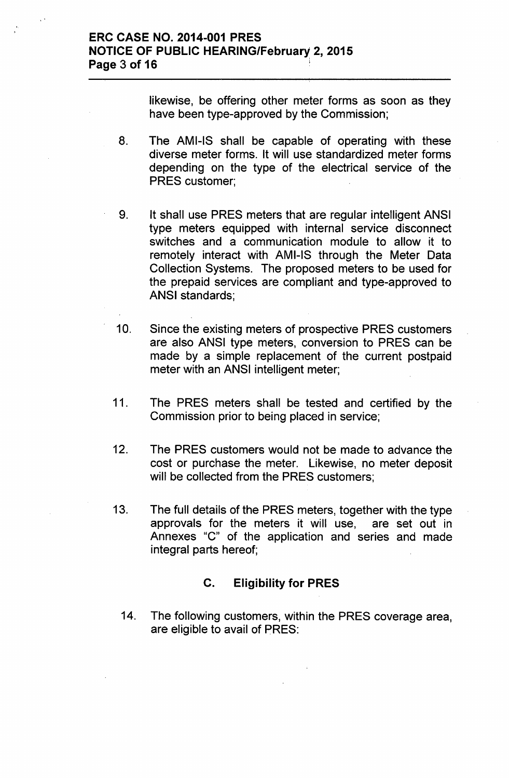likewise, be offering other meter forms as soon as they have been type-approved by the Commission;

- 8. The AMI-IS shall be capable of operating with these diverse meter forms. It will use standardized meter forms depending on the type of the electrical service of the PRES customer;
- 9. It shall use PRES meters that are regular intelligent ANSI type meters equipped with internal service disconnect switches and a communication module to allow it to remotely interact with AMI-IS through the Meter Data Collection Systems. The proposed meters to be used for the prepaid services are compliant and type-approved to ANSI standards;
- 10. Since the existing meters of prospective PRES customers are also ANSI type meters, conversion to PRES can be made by a simple replacement of the current postpaid meter with an ANSI intelligent meter;
- 11. The PRES meters shall be tested and certified by the Commission prior to being placed in service;
- 12. The PRES customers would not be made to advance the cost or purchase the meter. Likewise, no meter deposit will be collected from the PRES customers;
- 13. The full details of the PRES meters, together with the type approvals for the meters it will use, are set out in Annexes "C" of the application and series and made integral parts hereof;

# C. Eligibility for PRES

14. The following customers, within the PRES coverage area, are eligible to avail of PRES: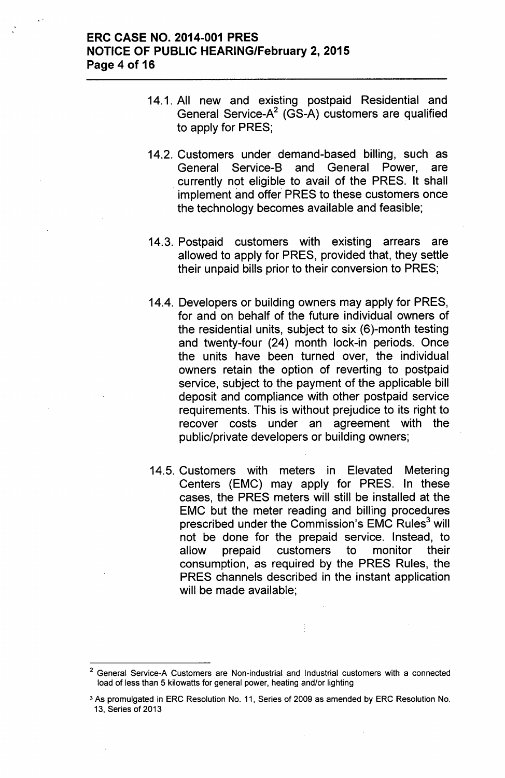- 14.1. All new and existing postpaid Residential and General Service-A<sup>2</sup> (GS-A) customers are qualified to apply for PRES;
- 14.2. Customers under demand-based billing, such as General Service-B and General Power, are . currently not eligible to avail of the PRES. It shall implement and offer PRES to these customers once the technology becomes available and feasible;
- 14.3. Postpaid customers with existing arrears are allowed to apply for PRES, provided that, they settle their unpaid bills prior to their conversion to PRES;
- 14.4. Developers or building owners may apply for PRES, for and on behalf of the future individual owners of the residential units, subject to six (6)-month testing and twenty-four (24) month lock-in periods. Once the units have been turned over, the individual owners retain the option of reverting to postpaid service, subject to the payment of the applicable bill deposit and compliance with other postpaid service requirements. This is without prejudice to its right to recover costs under an agreement with the public/private developers or building owners;
- 14.5. Customers with meters in Elevated Metering Centers (EMC) may apply for PRES. In these cases, the PRES meters will still be installed at the EMC but the meter reading and billing procedures prescribed under the Commission's EMC Rules $3$  will not be done for the prepaid service. Instead, to allow prepaid customers to monitor their consumption, as required by the PRES Rules, the PRES channels described in the instant application will be made available;

<sup>2</sup> General Service-A Customers are Non-industrial and Industrial customers with a connected load of less than 5 kilowatts for general power, heating and/or lighting

<sup>3</sup> As promulgated in ERC Resolution No. 11, Series of 2009 as amended by ERC Resolution No. 13, Series of 2013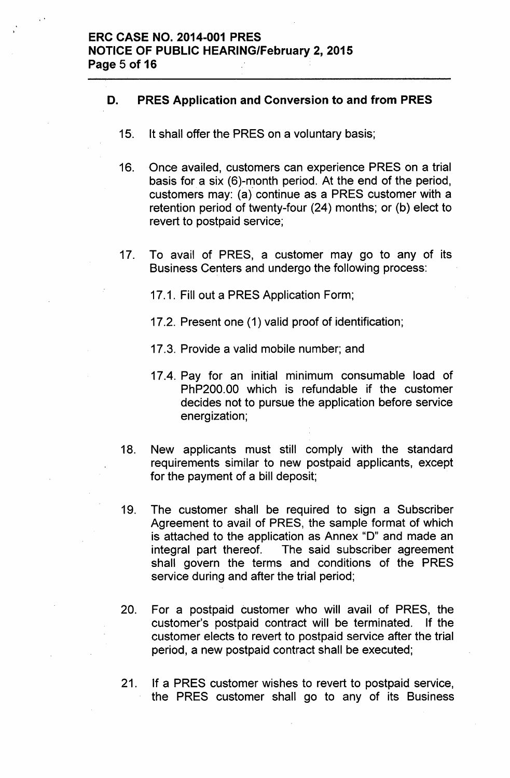### D. PRES Application and Conversion to and from PRES

- 15. It shall offer the PRES on a voluntary basis;
- 16. Once availed, customers can experience PRES on a trial basis for a six  $(6)$ -month period. At the end of the period, customers may: (a) continue as a PRES customer with a retention period of twenty-four (24) months; or (b) elect to revert to postpaid service;
- 17. To avail of PRES, a customer may go to any of its Business Centers and undergo the following process:

17.1. Fill out a PRES Application Form;

- 17.2. Present one (1) valid proof of identification;
- 17.3. Provide a valid mobile number; and
- 17.4. Pay for an initial minimum consumable load of PhP200.00 which is refundable if the customer decides not to pursue the application before service energization;
- 18. New applicants must still comply with the standard requirements similar to new postpaid applicants, except for the payment of a bill deposit;
- 19. The customer shall be required to sign a Subscriber Agreement to avail of PRES, the sample format of which is attached to the application as Annex "D" and made an integral part thereof. The said subscriber agreement shall govern the terms and conditions of the PRES service during and after the trial period;
- 20. For a postpaid customer who will avail of PRES, the customer's postpaid contract will be terminated. If the customer elects to revert to postpaid service after the trial period, a new postpaid contract shall be executed;
- 21. If a PRES customer wishes to revert to postpaid service, the PRES customer shall go to any of its Business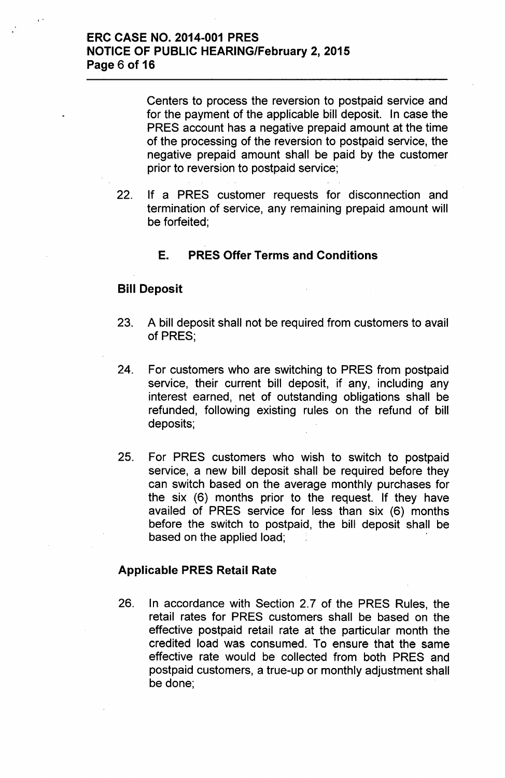Centers to process the reversion to postpaid service and for the payment of the applicable bill deposit. In case the PRES account has a negative prepaid amount at the time of the processing of the reversion to postpaid service, the negative prepaid amount shall be paid by the customer prior to reversion to postpaid service;

22. If a PRES customer requests for disconnection and termination of service, any remaining prepaid amount will be forfeited;

# E. PRES Offer Terms and Conditions

## Bill Deposit

< •

- 23. A bill deposit shall not be required from customers to avail of PRES;
- 24. For customers who are switching to PRES from postpaid service, their current bill deposit, if any, including any interest earned, net of outstanding obligations shall be refunded, following existing rules on the refund of bill deposits;
- 25. For PRES customers who wish to switch to postpaid service, a new bill deposit shall be required before they can switch based on the average monthly purchases for the six (6) months prior to the request. If they have availed of PRES service for less than six (6) months before the switch to postpaid, the bill deposit shall be based on the applied load;

### Applicable PRES Retail Rate

26. In accordance with Section 2.7 of the PRES Rules, the retail rates for PRES customers shall be based on the effective postpaid retail rate at the particular month the credited load was consumed. To ensure that the same effective rate would be collected from both PRES and postpaid customers, a true-up or monthly adjustment shall be done;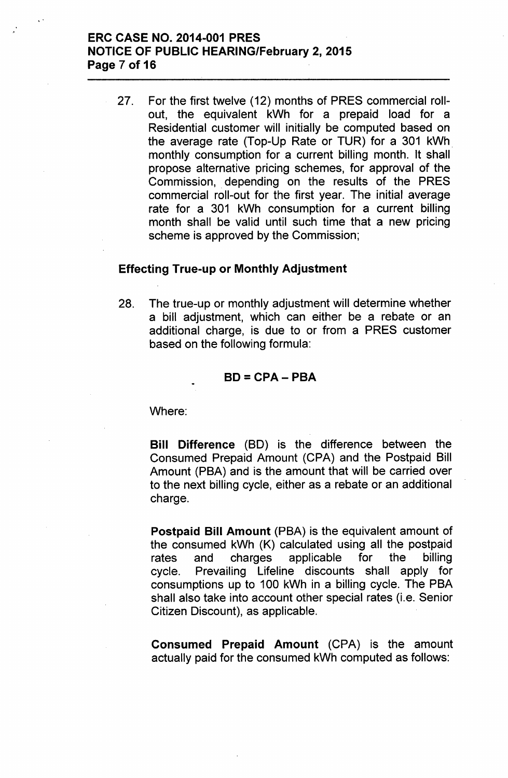## ERC CASE NO. 2014-001 PRES NOTICE OF PUBLIC HEARING/February 2, 2015 Page 7 of 16

..

27. For the first twelve (12) months of PRES commercial rollout, the equivalent kWh for a prepaid load for a Residential customer will initially be computed based on the average rate (Top-Up Rate or TUR) for a 301 kWh monthly consumption for a current billing month. It shall propose alternative pricing schemes, for approval of the Commission, depending on the results of the PRES commercial roll-out for the first year. The initial average rate for a 301 kWh consumption for a current billing month shall be valid until such time that a new pricing scheme is approved by the Commission;

#### Effecting True-up or Monthly Adjustment

28. The true-up or monthly adjustment will determine whether a bill adjustment, which can either be a rebate or an additional charge, is due to or from a PRES customer based on the following formula:

#### $BD = CPA - PBA$

Where:

Bill Difference (BD) is the difference between the Consumed Prepaid Amount (CPA) and the Postpaid Bill Amount (PBA) and is the amount that will be carried over to the next billing cycle, either as a rebate or an additional charge.

Postpaid Bill Amount (PBA) is the equivalent amount of the consumed kWh (K) calculated using all the postpaid rates and charges applicable for the billing cycle. Prevailing Lifeline discounts shall apply for consumptions up to 100 kWh in a billing cycle. The PBA shall also take into account other special rates (i.e. Senior Citizen Discount), as applicable.

Consumed Prepaid Amount (CPA) is the amount actually paid for the consumed kWh computed as follows: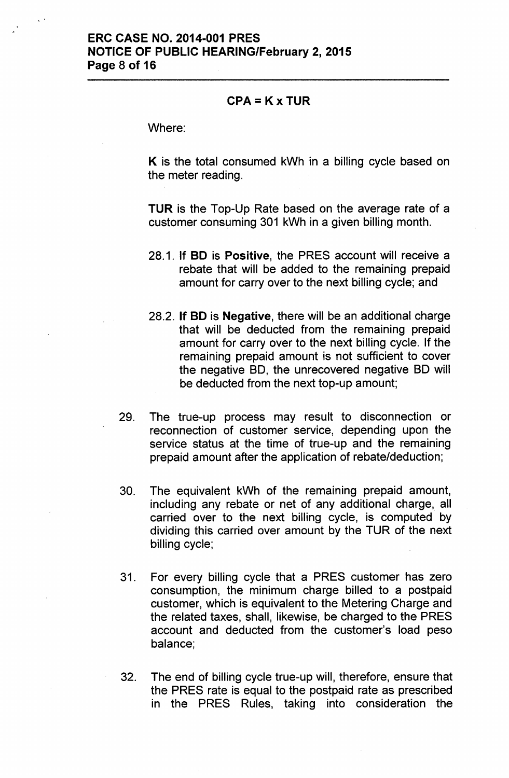#### $CPA = K \times TUR$

Where:

K is the total consumed kWh in a billing cycle based on the meter reading.

TUR is the Top-Up Rate based on the average rate of a customer consuming 301 kWh in a given billing month.

- 28.1. If BO is Positive, the PRES account will receive a rebate that will be added to the remaining prepaid amount for carry over to the next billing cycle; and
- 28.2. If BO is Negative, there will be an additional charge that will be deducted from the remaining prepaid amount for carry over to the next billing cycle. If the remaining prepaid amount is not sufficient to cover the negative SO, the unrecovered negative SO will be deducted from the next top-up amount;
- 29. The true-up process may result to disconnection or reconnection of customer service, depending upon the service status at the time of true-up and the remaining prepaid amount after the application of rebate/deduction;
- 30. The equivalent kWh of the remaining prepaid amount, including any rebate or net of any additional charge, all carried over to the next billing cycle, is computed by dividing this carried over amount by the TUR of the next billing cycle;
- 31. For every billing cycle that a PRES customer has zero consumption, the minimum charge billed to a postpaid customer, which is equivalent to the Metering Charge and the related taxes, shall, likewise, be charged to the PRES account and deducted from the customer's load peso balance;
- 32. The end of billing cycle true-up will, therefore, ensure that the PRES rate is equal to the postpaid rate as prescribed in the PRES Rules, taking into consideration the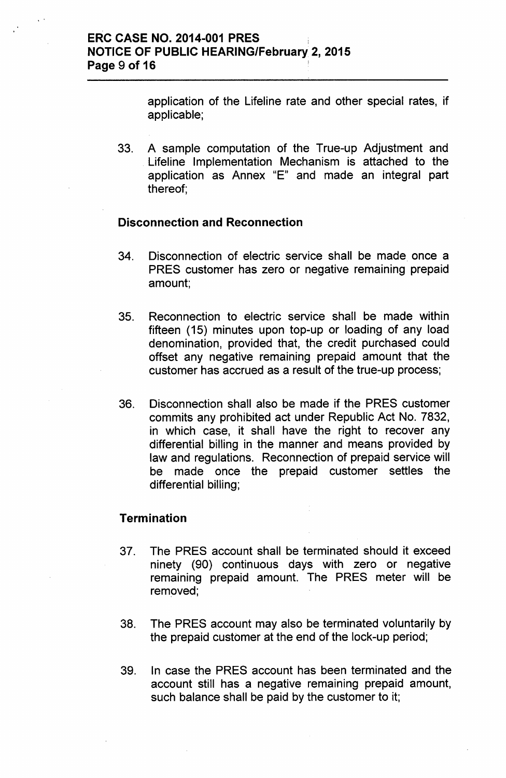application of the Lifeline rate and other special rates, if applicable;

33. A sample computation of the True-up Adjustment and Lifeline Implementation Mechanism is attached to the application as Annex "E" and made an integral part thereof;

### **Disconnection and Reconnection**

- 34. Disconnection of electric service shall be made once a PRES customer has zero or negative remaining prepaid amount;
- 35. Reconnection to electric service shall be made within fifteen (15) minutes upon top-up or loading of any load denomination, provided that, the credit purchased could offset any negative remaining prepaid amount that the customer has accrued as a result of the true-up process;
- 36. Disconnection shall also be made if the PRES customer commits any prohibited act under Republic Act No. 7832, in which case, it shall have the right to recover any differential billing in the manner and means provided by law and regulations. Reconnection of prepaid service will be made once the prepaid customer settles the differential billing;

# **Termination**

- 37. The PRES account shall be terminated should it exceed ninety (90) continuous days with zero or negative remaining prepaid amount. The PRES meter will be removed;
- 38. The PRES account may also be terminated voluntarily by the prepaid customer at the end of the lock-up period;
- 39. In case the PRES account has been terminated and the account still has a negative remaining prepaid amount, such balance shall be paid by the customer to it;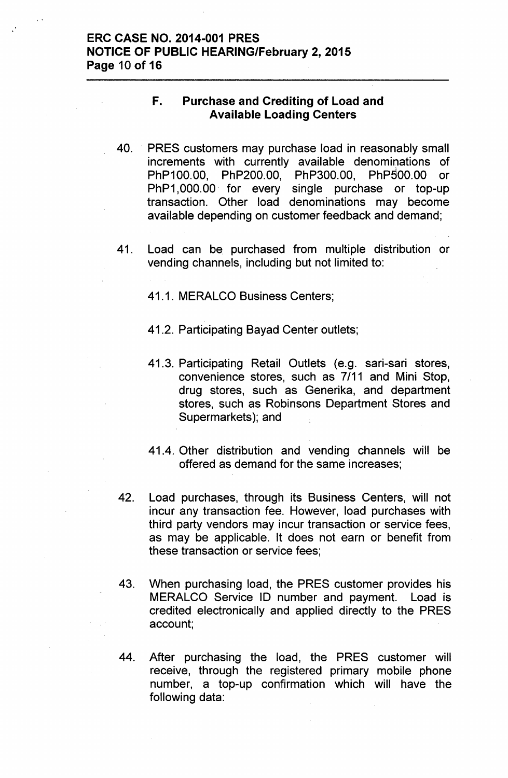## ERC CASE NO. 2014-001 PRES NOTICE OF PUBLIC HEARING/February 2, 2015 Page 10 of 16

### F. Purchase and Crediting of Load and Available Loading Centers

- 40. PRES customers may purchase load in reasonably small increments with currently available denominations of \ PhP100.00, PhP200.00, PhP300.00, PhP500.00 or PhP1,000.00 for every single purchase or top-up transaction. Other load denominations may become available depending on customer feedback and demand;
- 41. Load can be purchased from multiple distribution or vending channels, including but not limited to:

41.1. MERALCO Business Centers;

- 41.2. Participating Bayad Center outlets;
- 41.3. Participating Retail Outlets (e.g. sari-sari stores, convenience stores, such as 7/11 and Mini Stop, drug stores, such as Generika, and department stores, such as Robinsons Department Stores and Supermarkets); and
- 41.4. Other distribution and vending channels will be offered as demand for the same increases;
- 42. Load purchases, through its Business Centers, will not incur any transaction fee. However, load purchases with third party vendors may incur transaction or service fees, as may be applicable. It does not earn or benefit from these transaction or service fees;
- 43. When purchasing load, the PRES customer provides his MERALCO Service ID number and payment. Load is credited electronically and applied directly to the PRES account;
- 44. After purchasing the load, the PRES customer will receive, through the registered primary mobile phone number, a top-up confirmation which will have the following data: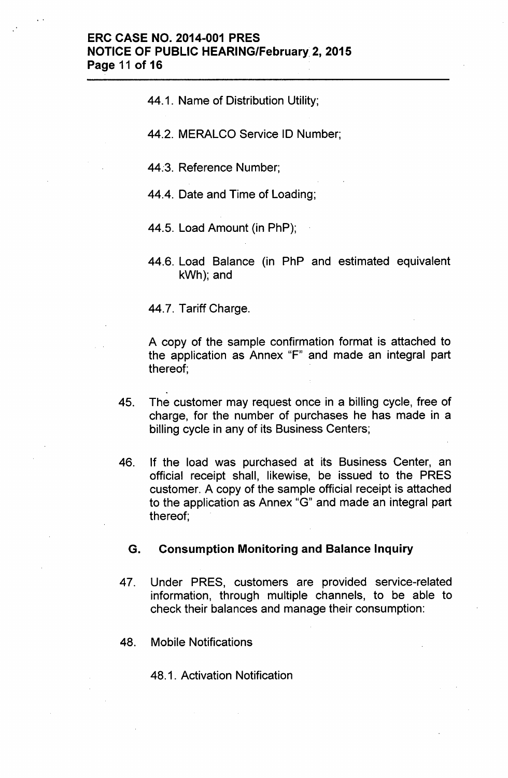44.1. Name of Distribution Utility;

44.2. MERALCO Service ID Number;

44:3. Reference Number;

44.4. Date and Time of Loading;

44.5. Load Amount (in PhP);

44.6. Load Balance (in PhP and estimated equivalent kWh); and

44.7. Tariff Charge.

A copy of the sample confirmation format is attached to the application as Annex "F" and made an integral part thereof;

- 45. The customer may request once in a billing cycle, free of charge, for the number of purchases he has made in a billing cycle in any of its Business Centers;
- 46. If the load was purchased at its Business Center, an official receipt shall, likewise, be issued to the PRES customer. A copy of the sample official receipt is attached to the application as Annex "G" and made an integral part thereof;

#### G. Consumption Monitoring and Balance Inquiry

- 47. Under PRES, customers are provided service-related information, through multiple channels, to be able to check their balances and manage their consumption:
- 48. Mobile Notifications

48.1. Activation Notification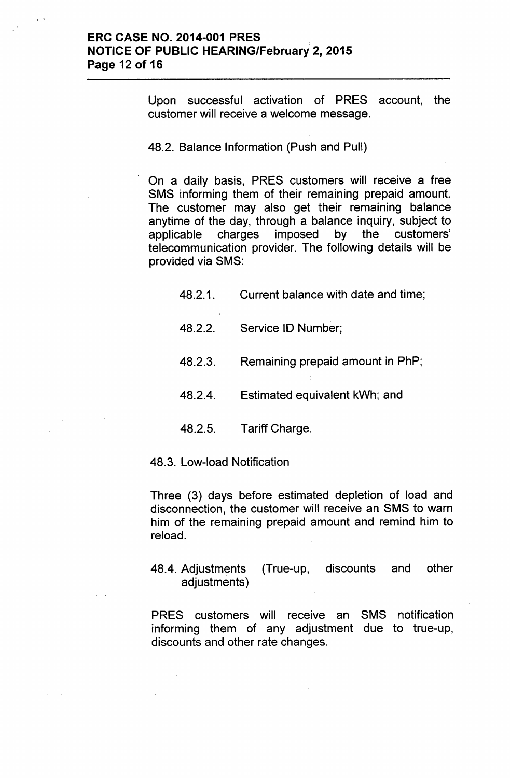Upon successful activation of PRES account, the customer will receive a welcome message.

48.2. Balance Information (Push and Pull)

On a daily basis, PRES customers will receive a free SMS informing them of their remaining prepaid amount. The customer may also get their remaining balance anytime of the day, through a balance inquiry, subject to applicable charges imposed by the customers' telecommunication provider. The following details will be provided via SMS:

- 48.2.1. Current balance with date and time;
- 48.2.2. Service ID Number;
- 48.2.3. Remaining prepaid amount in PhP;
- 48.2.4. Estimated equivalent kWh; and
- 48.2.5. Tariff Charge.

48.3. Low-load Notification

Three (3) days before estimated depletion of load and disconnection, the customer will receive an SMS to warn him of the remaining prepaid amount and remind him to reload.

48.4. Adjustments (True-up, discounts and other adjustments)

PRES customers will receive an SMS notification informing them of any adjustment due to true-up, discounts and other rate changes.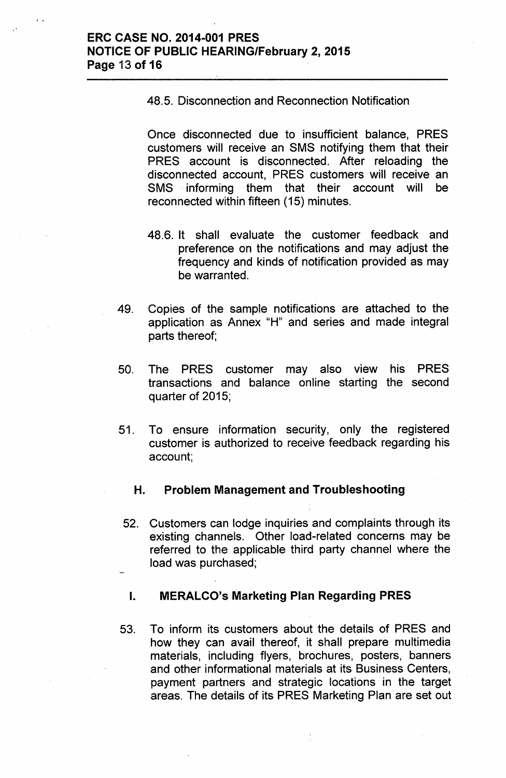48.5. Disconnection and Reconnection Notification

Once disconnected due to insufficient balance, PRES customers will receive an SMS notifying them that their PRES account is disconnected. After reloading the disconnected account, PRES customers will receive an SMS informing them that their account will be reconnected within fifteen (15) minutes.

- 48.6. It shall evaluate the customer feedback and preference on the notifications and may adjust the frequency and kinds of notification provided as may be warranted.
- 49. Copies of the sample notifications are attached to the application as Annex "H" and series and made integral parts thereof;
- 50. The PRES customer may also view his PRES transactions and balance online starting the second quarter of 2015;
- 51. To ensure information security, only the registered customer is authorized to receive feedback regarding his account;

## H. Problem Management and Troubleshooting

52. Customers can lodge inquiries and complaints through its existing channels. Other load-related concerns may be referred to the applicable third party channel where the load was purchased;

### I. MERALCO's Marketing Plan Regarding PRES

53. To inform its customers about the details of PRES and how they can avail thereof, it shall prepare multimedia materials, including flyers, brochures, posters, banners and other informational materials at its Business Centers, payment partners and strategic locations in the target areas. The details of its PRES Marketing Plan are set out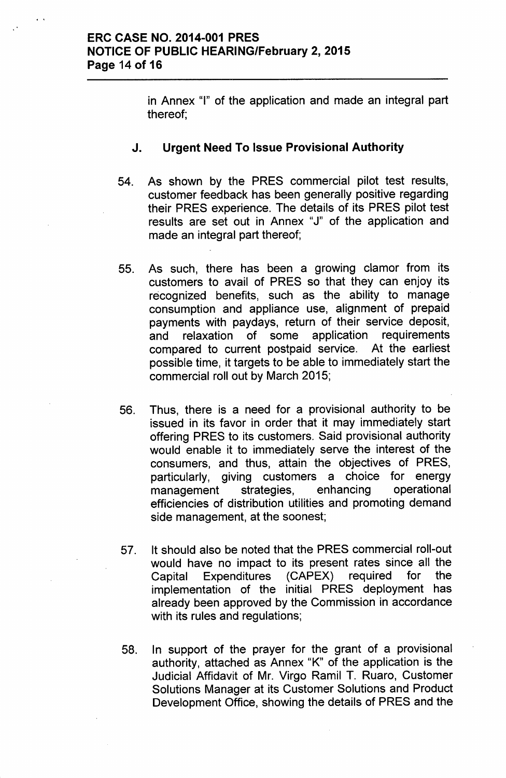in Annex "I" of the application and made an integral part thereof;

### J. Urgent Need To Issue Provisional Authority

- 54. As shown by the PRES commercial pilot test results, customer feedback has been generally positive regarding their PRES experience. The details of its PRES pilot test results are set out in Annex "J" of the application and made an integral part thereof;
- 55. As such, there has been a growing clamor from its customers to avail of PRES so that they can enjoy its recognized benefits, such as the ability to manage consumption and appliance use, alignment of prepaid payments with paydays, return of their service deposit, and relaxation of some application requirements compared to current postpaid service. At the earliest possible time, it targets to be able to immediately start the commercial roll out by March 2015;
- 56. Thus, there is a need for a provisional authority to be issued in its favor in order that it may immediately start offering PRES to its customers. Said provisional authority would enable it to immediately serve the interest of the consumers, and thus, attain the objectives of PRES, particularly, giving customers a choice for energy management strategies, enhancing operational efficiencies of distribution utilities and promoting demand side management, at the soonest;
- 57. It should also be noted that the PRES commercial roll-out would have no impact to its present rates since all the Capital Expenditures (CAPEX) required for the implementation of the initial PRES deployment has already been approved by the Commission in accordance with its rules and regulations;
- 58. In support of the prayer for the grant of a provisional authority, attached as Annex "K" of the application is the Judicial Affidavit of Mr. Virgo Ramil T. Ruaro, Customer Solutions Manager at its Customer Solutions and Product Development Office, showing the details of PRES and the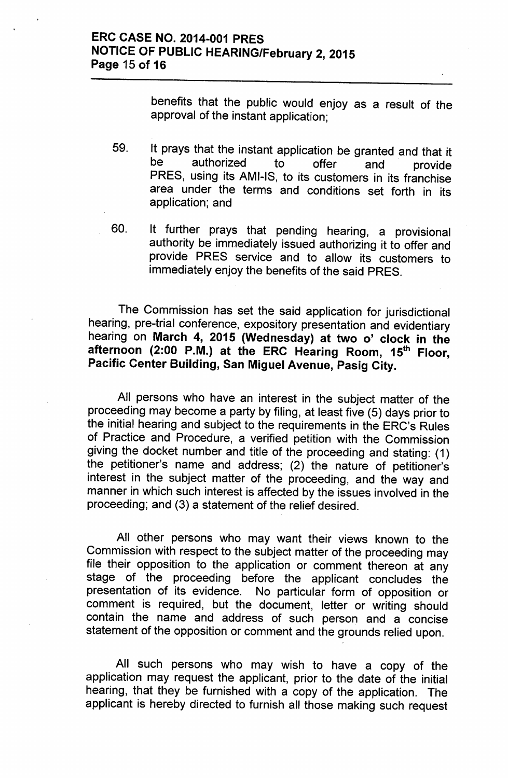benefits that the public would enjoy as a result of the approval of the instant application;

- 59. It prays that the instant application be granted and that it<br>be authorized to offer and provide be authorized to offer and provide PRES, using its AMI-IS, to its customers in its franchise area under the terms and conditions set forth in its application; and
- 60. It further prays that pending hearing, a provisional authority be immediately issued authorizing it to offer and provide PRES service and to allow its customers to immediately enjoy the benefits of the said PRES.

The Commission has set the said application for jurisdictional hearing, pre-trial conference, expository presentation and evidentiary hearing on March 4, 2015 (Wednesday) at two o' clock in the afternoon (2:00 P.M.) at the ERC Hearing Room, 15<sup>th</sup> Floor, Pacific Center Building, San Miguel Avenue, Pasig City.

All persons who have an interest in the subject matter of the proceeding may become a party by filing, at least five (5) days prior to the initial hearing and subject to the requirements in the ERC's Rules of Practice and Procedure, a verified petition with the Commission giving the docket number and title of the proceeding and stating: (1) the petitioner's name and address; (2) the nature of petitioner's interest in the subject matter of the proceeding, and the way and manner in which such interest is affected by the issues involved in the proceeding; and (3) a statement of the relief desired.

All other persons who may want their views known to the Commission with respect to the subject matter of the proceeding may file their opposition to the application or comment thereon at any stage of the proceeding before the applicant concludes the presentation of its evidence. No particular form of opposition or comment is required, but the document, letter or writing should contain the name and address of such person and a concise statement of the opposition or comment and the grounds relied upon.

All such persons who may wish to have a copy of the application may request the applicant, prior to the date of the initial hearing, that they be furnished with a copy of the application. The applicant is hereby directed to furnish all those making such request